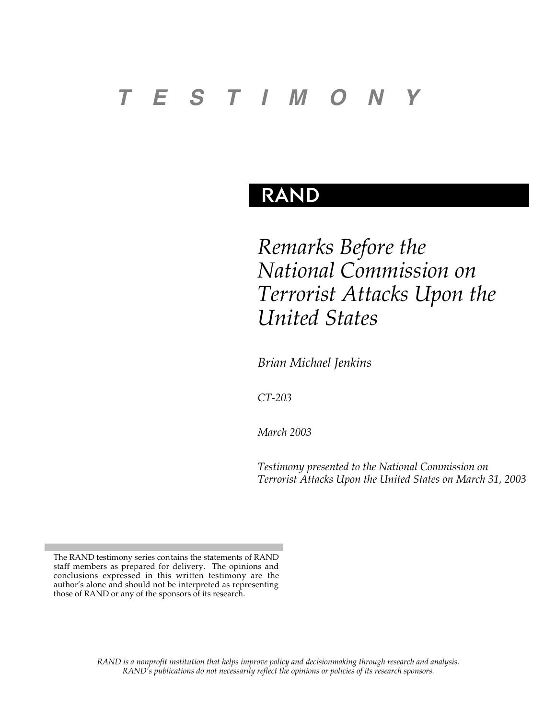# *T E S T I M O N Y*

# **RAND**

*Remarks Before the National Commission on Terrorist Attacks Upon the United States*

*Brian Michael Jenkins*

*CT-203*

*March 2003*

*Testimony presented to the National Commission on Terrorist Attacks Upon the United States on March 31, 2003*

*RAND is a nonprofit institution that helps improve policy and decisionmaking through research and analysis. RAND's publications do not necessarily reflect the opinions or policies of its research sponsors.*

The RAND testimony series contains the statements of RAND staff members as prepared for delivery. The opinions and conclusions expressed in this written testimony are the author's alone and should not be interpreted as representing those of RAND or any of the sponsors of its research.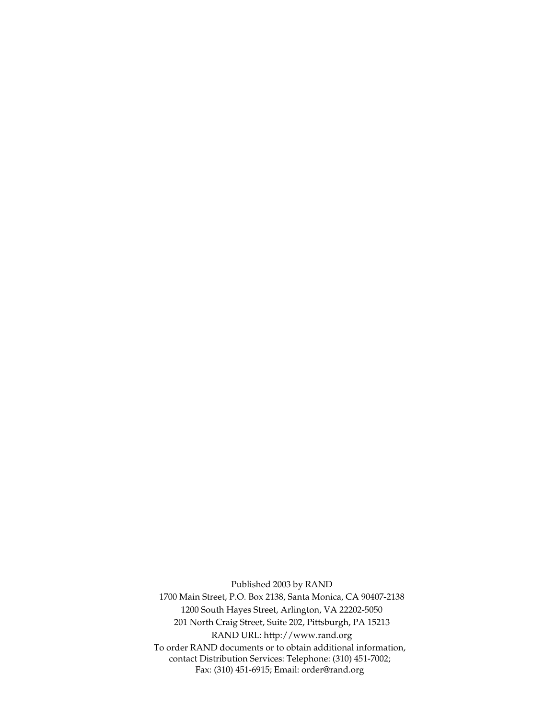Published 2003 by RAND 1700 Main Street, P.O. Box 2138, Santa Monica, CA 90407-2138 1200 South Hayes Street, Arlington, VA 22202-5050 201 North Craig Street, Suite 202, Pittsburgh, PA 15213 RAND URL: http://www.rand.org To order RAND documents or to obtain additional information, contact Distribution Services: Telephone: (310) 451-7002; Fax: (310) 451-6915; Email: order@rand.org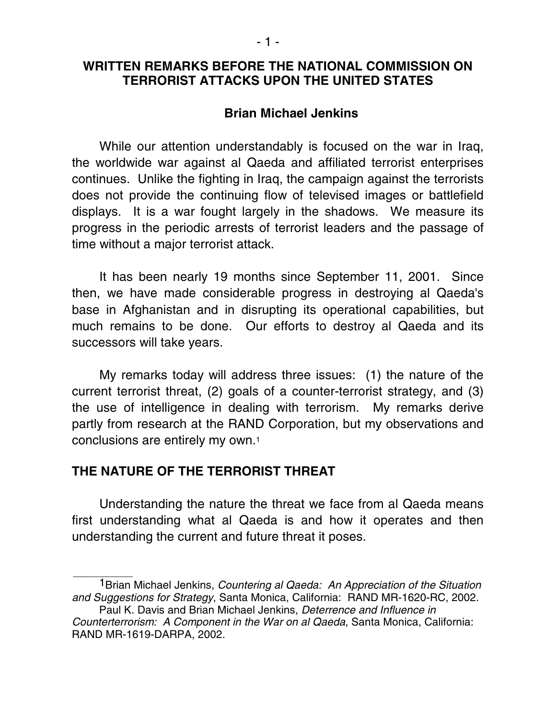# **WRITTEN REMARKS BEFORE THE NATIONAL COMMISSION ON TERRORIST ATTACKS UPON THE UNITED STATES**

# **Brian Michael Jenkins**

While our attention understandably is focused on the war in Iraq, the worldwide war against al Qaeda and affiliated terrorist enterprises continues. Unlike the fighting in Iraq, the campaign against the terrorists does not provide the continuing flow of televised images or battlefield displays. It is a war fought largely in the shadows. We measure its progress in the periodic arrests of terrorist leaders and the passage of time without a major terrorist attack.

It has been nearly 19 months since September 11, 2001. Since then, we have made considerable progress in destroying al Qaeda's base in Afghanistan and in disrupting its operational capabilities, but much remains to be done. Our efforts to destroy al Qaeda and its successors will take years.

My remarks today will address three issues: (1) the nature of the current terrorist threat, (2) goals of a counter-terrorist strategy, and (3) the use of intelligence in dealing with terrorism. My remarks derive partly from research at the RAND Corporation, but my observations and conclusions are entirely my own.1

# **THE NATURE OF THE TERRORIST THREAT**

 $\overline{\phantom{a}}$  , where  $\overline{\phantom{a}}$ 

Understanding the nature the threat we face from al Qaeda means first understanding what al Qaeda is and how it operates and then understanding the current and future threat it poses.

<sup>&</sup>lt;sup>1</sup> Brian Michael Jenkins, *Countering al Qaeda: An Appreciation of the Situation* and Suggestions for Strategy, Santa Monica, California: RAND MR-1620-RC, 2002.

Paul K. Davis and Brian Michael Jenkins, Deterrence and Influence in Counterterrorism: A Component in the War on al Qaeda, Santa Monica, California: RAND MR-1619-DARPA, 2002.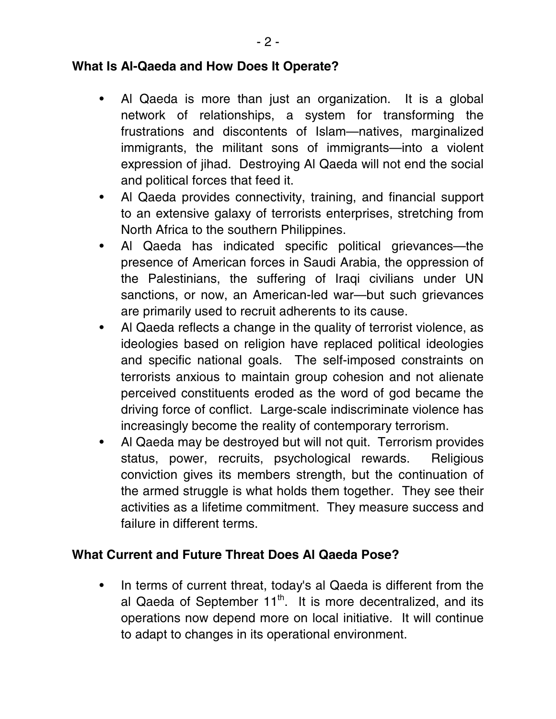# **What Is Al-Qaeda and How Does It Operate?**

- Al Qaeda is more than just an organization. It is a global network of relationships, a system for transforming the frustrations and discontents of Islam—natives, marginalized immigrants, the militant sons of immigrants—into a violent expression of jihad. Destroying Al Qaeda will not end the social and political forces that feed it.
- Al Qaeda provides connectivity, training, and financial support to an extensive galaxy of terrorists enterprises, stretching from North Africa to the southern Philippines.
- Al Qaeda has indicated specific political grievances—the presence of American forces in Saudi Arabia, the oppression of the Palestinians, the suffering of Iraqi civilians under UN sanctions, or now, an American-led war—but such grievances are primarily used to recruit adherents to its cause.
- Al Qaeda reflects a change in the quality of terrorist violence, as ideologies based on religion have replaced political ideologies and specific national goals. The self-imposed constraints on terrorists anxious to maintain group cohesion and not alienate perceived constituents eroded as the word of god became the driving force of conflict. Large-scale indiscriminate violence has increasingly become the reality of contemporary terrorism.
- Al Qaeda may be destroyed but will not quit. Terrorism provides status, power, recruits, psychological rewards. Religious conviction gives its members strength, but the continuation of the armed struggle is what holds them together. They see their activities as a lifetime commitment. They measure success and failure in different terms.

# **What Current and Future Threat Does Al Qaeda Pose?**

• In terms of current threat, today's al Qaeda is different from the al Qaeda of September  $11<sup>th</sup>$ . It is more decentralized, and its operations now depend more on local initiative. It will continue to adapt to changes in its operational environment.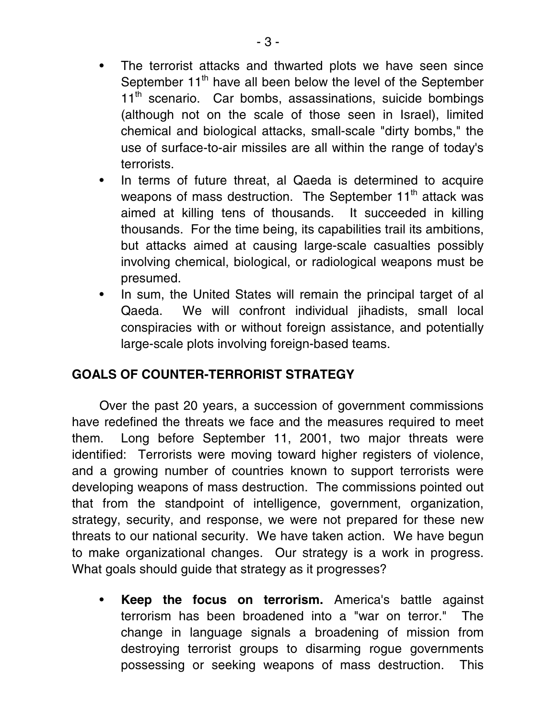- The terrorist attacks and thwarted plots we have seen since September 11<sup>th</sup> have all been below the level of the September  $11<sup>th</sup>$  scenario. Car bombs, assassinations, suicide bombings (although not on the scale of those seen in Israel), limited chemical and biological attacks, small-scale "dirty bombs," the use of surface-to-air missiles are all within the range of today's terrorists.
- In terms of future threat, al Qaeda is determined to acquire weapons of mass destruction. The September 11<sup>th</sup> attack was aimed at killing tens of thousands. It succeeded in killing thousands. For the time being, its capabilities trail its ambitions, but attacks aimed at causing large-scale casualties possibly involving chemical, biological, or radiological weapons must be presumed.
- In sum, the United States will remain the principal target of al Qaeda. We will confront individual jihadists, small local conspiracies with or without foreign assistance, and potentially large-scale plots involving foreign-based teams.

# **GOALS OF COUNTER-TERRORIST STRATEGY**

Over the past 20 years, a succession of government commissions have redefined the threats we face and the measures required to meet them. Long before September 11, 2001, two major threats were identified: Terrorists were moving toward higher registers of violence, and a growing number of countries known to support terrorists were developing weapons of mass destruction. The commissions pointed out that from the standpoint of intelligence, government, organization, strategy, security, and response, we were not prepared for these new threats to our national security. We have taken action. We have begun to make organizational changes. Our strategy is a work in progress. What goals should guide that strategy as it progresses?

• **Keep the focus on terrorism.** America's battle against terrorism has been broadened into a "war on terror." The change in language signals a broadening of mission from destroying terrorist groups to disarming rogue governments possessing or seeking weapons of mass destruction. This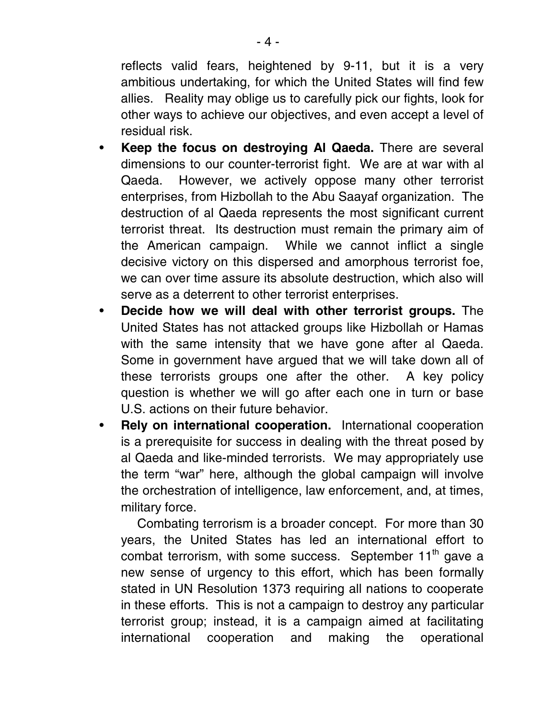reflects valid fears, heightened by 9-11, but it is a very ambitious undertaking, for which the United States will find few allies. Reality may oblige us to carefully pick our fights, look for other ways to achieve our objectives, and even accept a level of residual risk.

- **Keep the focus on destroying Al Qaeda.** There are several dimensions to our counter-terrorist fight. We are at war with al Qaeda. However, we actively oppose many other terrorist enterprises, from Hizbollah to the Abu Saayaf organization. The destruction of al Qaeda represents the most significant current terrorist threat. Its destruction must remain the primary aim of the American campaign. While we cannot inflict a single decisive victory on this dispersed and amorphous terrorist foe, we can over time assure its absolute destruction, which also will serve as a deterrent to other terrorist enterprises.
- **Decide how we will deal with other terrorist groups.** The United States has not attacked groups like Hizbollah or Hamas with the same intensity that we have gone after al Qaeda. Some in government have argued that we will take down all of these terrorists groups one after the other. A key policy question is whether we will go after each one in turn or base U.S. actions on their future behavior.
- **Rely on international cooperation.** International cooperation is a prerequisite for success in dealing with the threat posed by al Qaeda and like-minded terrorists. We may appropriately use the term "war" here, although the global campaign will involve the orchestration of intelligence, law enforcement, and, at times, military force.

Combating terrorism is a broader concept. For more than 30 years, the United States has led an international effort to combat terrorism, with some success. September  $11<sup>th</sup>$  gave a new sense of urgency to this effort, which has been formally stated in UN Resolution 1373 requiring all nations to cooperate in these efforts. This is not a campaign to destroy any particular terrorist group; instead, it is a campaign aimed at facilitating international cooperation and making the operational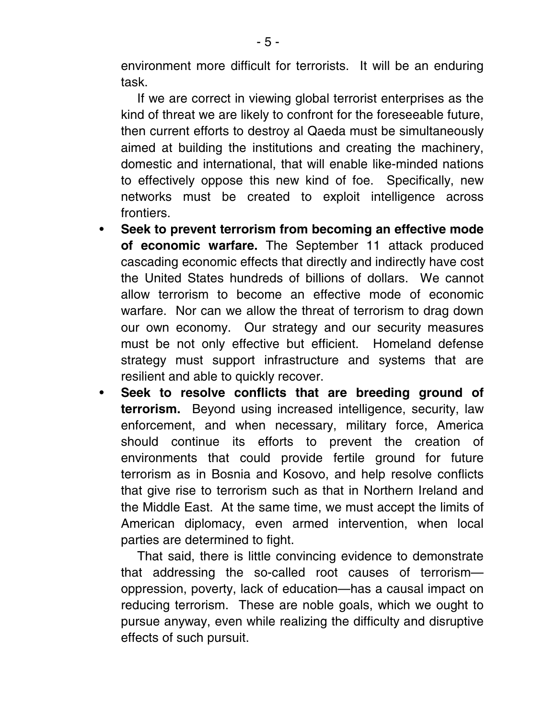environment more difficult for terrorists. It will be an enduring task.

If we are correct in viewing global terrorist enterprises as the kind of threat we are likely to confront for the foreseeable future, then current efforts to destroy al Qaeda must be simultaneously aimed at building the institutions and creating the machinery, domestic and international, that will enable like-minded nations to effectively oppose this new kind of foe. Specifically, new networks must be created to exploit intelligence across frontiers.

- **Seek to prevent terrorism from becoming an effective mode of economic warfare.** The September 11 attack produced cascading economic effects that directly and indirectly have cost the United States hundreds of billions of dollars. We cannot allow terrorism to become an effective mode of economic warfare. Nor can we allow the threat of terrorism to drag down our own economy. Our strategy and our security measures must be not only effective but efficient. Homeland defense strategy must support infrastructure and systems that are resilient and able to quickly recover.
- • **Seek to resolve conflicts that are breeding ground of terrorism.** Beyond using increased intelligence, security, law enforcement, and when necessary, military force, America should continue its efforts to prevent the creation of environments that could provide fertile ground for future terrorism as in Bosnia and Kosovo, and help resolve conflicts that give rise to terrorism such as that in Northern Ireland and the Middle East. At the same time, we must accept the limits of American diplomacy, even armed intervention, when local parties are determined to fight.

That said, there is little convincing evidence to demonstrate that addressing the so-called root causes of terrorism oppression, poverty, lack of education—has a causal impact on reducing terrorism. These are noble goals, which we ought to pursue anyway, even while realizing the difficulty and disruptive effects of such pursuit.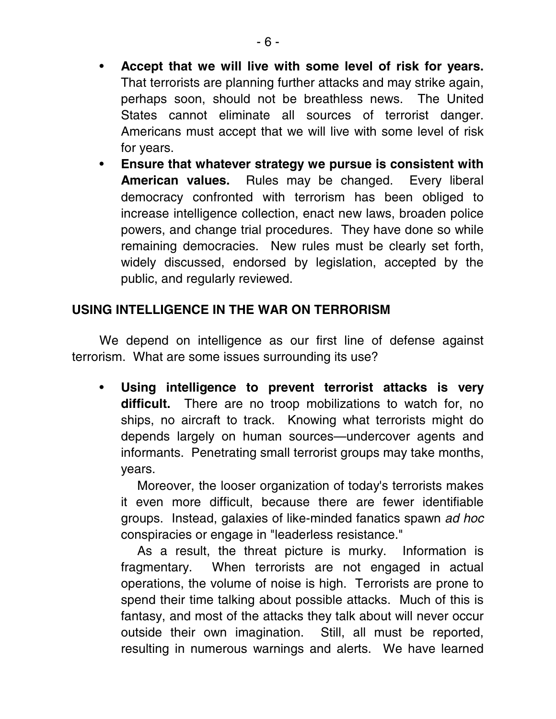- • **Accept that we will live with some level of risk for years.**  That terrorists are planning further attacks and may strike again, perhaps soon, should not be breathless news. The United States cannot eliminate all sources of terrorist danger. Americans must accept that we will live with some level of risk for years.
- • **Ensure that whatever strategy we pursue is consistent with American values.** Rules may be changed. Every liberal democracy confronted with terrorism has been obliged to increase intelligence collection, enact new laws, broaden police powers, and change trial procedures. They have done so while remaining democracies. New rules must be clearly set forth, widely discussed, endorsed by legislation, accepted by the public, and regularly reviewed.

# **USING INTELLIGENCE IN THE WAR ON TERRORISM**

We depend on intelligence as our first line of defense against terrorism. What are some issues surrounding its use?

• **Using intelligence to prevent terrorist attacks is very difficult.** There are no troop mobilizations to watch for, no ships, no aircraft to track. Knowing what terrorists might do depends largely on human sources—undercover agents and informants. Penetrating small terrorist groups may take months, years.

Moreover, the looser organization of today's terrorists makes it even more difficult, because there are fewer identifiable groups. Instead, galaxies of like-minded fanatics spawn ad hoc conspiracies or engage in "leaderless resistance."

As a result, the threat picture is murky. Information is fragmentary. When terrorists are not engaged in actual operations, the volume of noise is high. Terrorists are prone to spend their time talking about possible attacks. Much of this is fantasy, and most of the attacks they talk about will never occur outside their own imagination. Still, all must be reported, resulting in numerous warnings and alerts. We have learned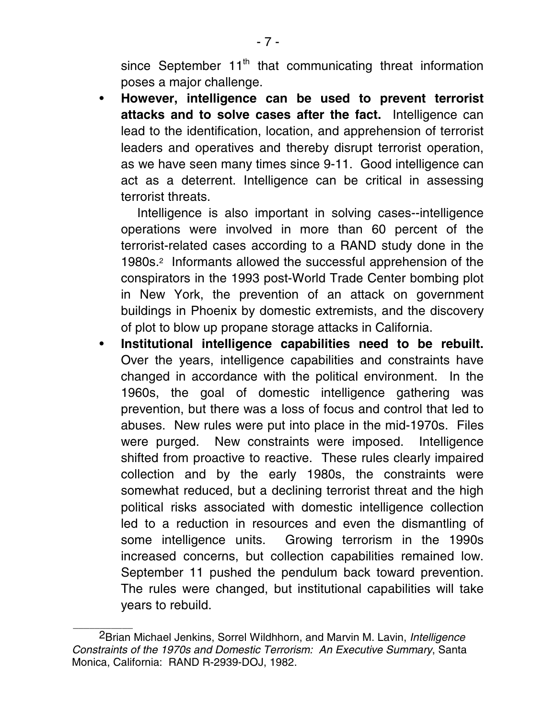since September  $11<sup>th</sup>$  that communicating threat information poses a major challenge.

• **However, intelligence can be used to prevent terrorist attacks and to solve cases after the fact.** Intelligence can lead to the identification, location, and apprehension of terrorist leaders and operatives and thereby disrupt terrorist operation, as we have seen many times since 9-11. Good intelligence can act as a deterrent. Intelligence can be critical in assessing terrorist threats.

Intelligence is also important in solving cases--intelligence operations were involved in more than 60 percent of the terrorist-related cases according to a RAND study done in the 1980s.2 Informants allowed the successful apprehension of the conspirators in the 1993 post-World Trade Center bombing plot in New York, the prevention of an attack on government buildings in Phoenix by domestic extremists, and the discovery of plot to blow up propane storage attacks in California.

• **Institutional intelligence capabilities need to be rebuilt.** Over the years, intelligence capabilities and constraints have changed in accordance with the political environment. In the 1960s, the goal of domestic intelligence gathering was prevention, but there was a loss of focus and control that led to abuses. New rules were put into place in the mid-1970s. Files were purged. New constraints were imposed. Intelligence shifted from proactive to reactive. These rules clearly impaired collection and by the early 1980s, the constraints were somewhat reduced, but a declining terrorist threat and the high political risks associated with domestic intelligence collection led to a reduction in resources and even the dismantling of some intelligence units. Growing terrorism in the 1990s increased concerns, but collection capabilities remained low. September 11 pushed the pendulum back toward prevention. The rules were changed, but institutional capabilities will take years to rebuild.

 $\mathcal{L}_\text{max}$ 

<sup>2</sup>Brian Michael Jenkins, Sorrel Wildhhorn, and Marvin M. Lavin, Intelligence Constraints of the 1970s and Domestic Terrorism: An Executive Summary, Santa Monica, California: RAND R-2939-DOJ, 1982.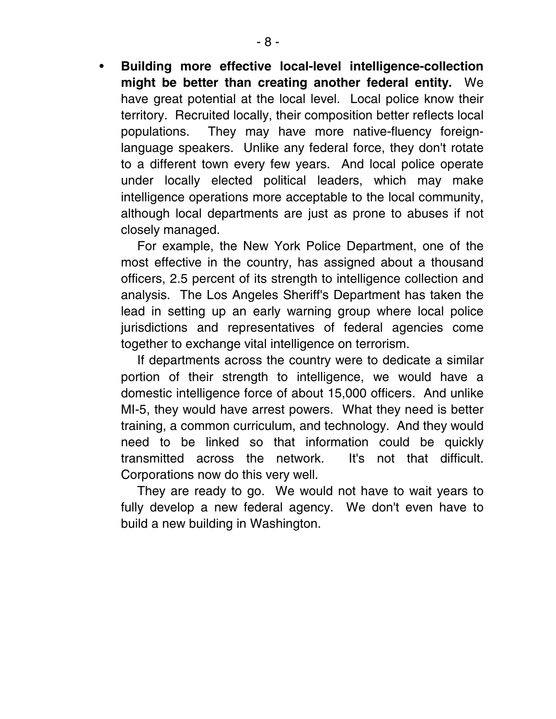• **Building more effective local-level intelligence-collection might be better than creating another federal entity.** We have great potential at the local level. Local police know their territory. Recruited locally, their composition better reflects local populations. They may have more native-fluency foreignlanguage speakers. Unlike any federal force, they don't rotate to a different town every few years. And local police operate under locally elected political leaders, which may make intelligence operations more acceptable to the local community, although local departments are just as prone to abuses if not closely managed.

For example, the New York Police Department, one of the most effective in the country, has assigned about a thousand officers, 2.5 percent of its strength to intelligence collection and analysis. The Los Angeles Sheriff's Department has taken the lead in setting up an early warning group where local police jurisdictions and representatives of federal agencies come together to exchange vital intelligence on terrorism.

If departments across the country were to dedicate a similar portion of their strength to intelligence, we would have a domestic intelligence force of about 15,000 officers. And unlike MI-5, they would have arrest powers. What they need is better training, a common curriculum, and technology. And they would need to be linked so that information could be quickly transmitted across the network. It's not that difficult. Corporations now do this very well.

They are ready to go. We would not have to wait years to fully develop a new federal agency. We don't even have to build a new building in Washington.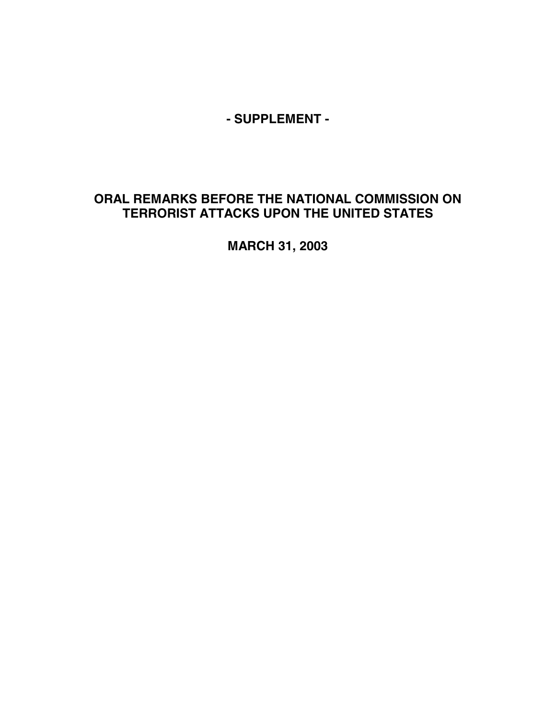**- SUPPLEMENT -** 

# **ORAL REMARKS BEFORE THE NATIONAL COMMISSION ON TERRORIST ATTACKS UPON THE UNITED STATES**

**MARCH 31, 2003**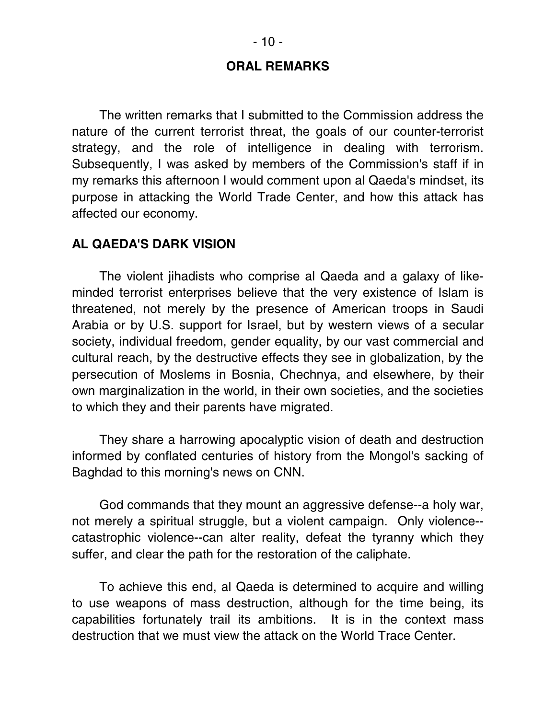#### **ORAL REMARKS**

The written remarks that I submitted to the Commission address the nature of the current terrorist threat, the goals of our counter-terrorist strategy, and the role of intelligence in dealing with terrorism. Subsequently, I was asked by members of the Commission's staff if in my remarks this afternoon I would comment upon al Qaeda's mindset, its purpose in attacking the World Trade Center, and how this attack has affected our economy.

#### **AL QAEDA'S DARK VISION**

The violent jihadists who comprise al Qaeda and a galaxy of likeminded terrorist enterprises believe that the very existence of Islam is threatened, not merely by the presence of American troops in Saudi Arabia or by U.S. support for Israel, but by western views of a secular society, individual freedom, gender equality, by our vast commercial and cultural reach, by the destructive effects they see in globalization, by the persecution of Moslems in Bosnia, Chechnya, and elsewhere, by their own marginalization in the world, in their own societies, and the societies to which they and their parents have migrated.

They share a harrowing apocalyptic vision of death and destruction informed by conflated centuries of history from the Mongol's sacking of Baghdad to this morning's news on CNN.

God commands that they mount an aggressive defense--a holy war, not merely a spiritual struggle, but a violent campaign. Only violence- catastrophic violence--can alter reality, defeat the tyranny which they suffer, and clear the path for the restoration of the caliphate.

To achieve this end, al Qaeda is determined to acquire and willing to use weapons of mass destruction, although for the time being, its capabilities fortunately trail its ambitions. It is in the context mass destruction that we must view the attack on the World Trace Center.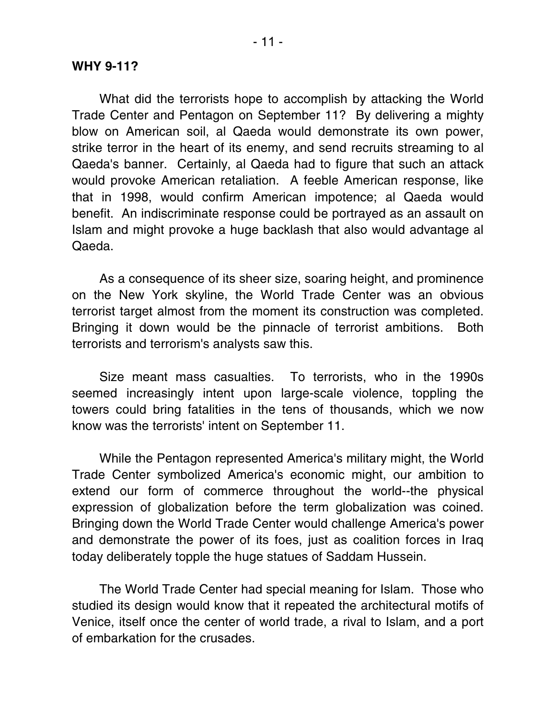#### **WHY 9-11?**

What did the terrorists hope to accomplish by attacking the World Trade Center and Pentagon on September 11? By delivering a mighty blow on American soil, al Qaeda would demonstrate its own power, strike terror in the heart of its enemy, and send recruits streaming to al Qaeda's banner. Certainly, al Qaeda had to figure that such an attack would provoke American retaliation. A feeble American response, like that in 1998, would confirm American impotence; al Qaeda would benefit. An indiscriminate response could be portrayed as an assault on Islam and might provoke a huge backlash that also would advantage al Qaeda.

As a consequence of its sheer size, soaring height, and prominence on the New York skyline, the World Trade Center was an obvious terrorist target almost from the moment its construction was completed. Bringing it down would be the pinnacle of terrorist ambitions. Both terrorists and terrorism's analysts saw this.

Size meant mass casualties. To terrorists, who in the 1990s seemed increasingly intent upon large-scale violence, toppling the towers could bring fatalities in the tens of thousands, which we now know was the terrorists' intent on September 11.

While the Pentagon represented America's military might, the World Trade Center symbolized America's economic might, our ambition to extend our form of commerce throughout the world--the physical expression of globalization before the term globalization was coined. Bringing down the World Trade Center would challenge America's power and demonstrate the power of its foes, just as coalition forces in Iraq today deliberately topple the huge statues of Saddam Hussein.

The World Trade Center had special meaning for Islam. Those who studied its design would know that it repeated the architectural motifs of Venice, itself once the center of world trade, a rival to Islam, and a port of embarkation for the crusades.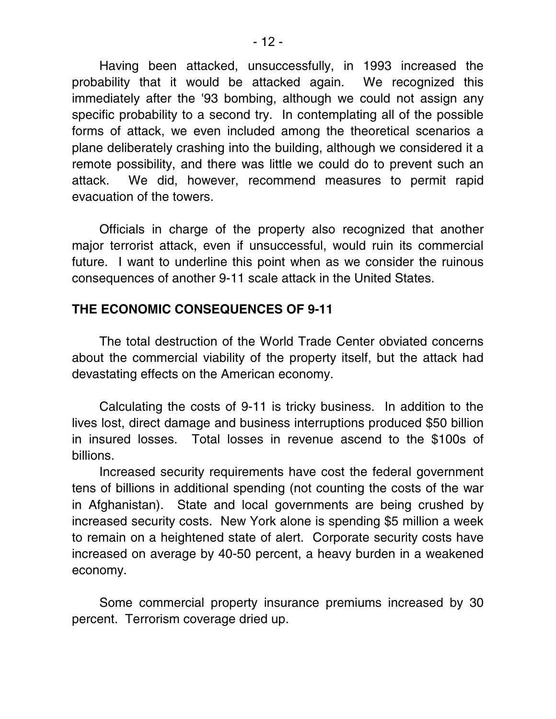Having been attacked, unsuccessfully, in 1993 increased the probability that it would be attacked again. We recognized this immediately after the '93 bombing, although we could not assign any specific probability to a second try. In contemplating all of the possible forms of attack, we even included among the theoretical scenarios a plane deliberately crashing into the building, although we considered it a remote possibility, and there was little we could do to prevent such an attack. We did, however, recommend measures to permit rapid evacuation of the towers.

Officials in charge of the property also recognized that another major terrorist attack, even if unsuccessful, would ruin its commercial future. I want to underline this point when as we consider the ruinous consequences of another 9-11 scale attack in the United States.

# **THE ECONOMIC CONSEQUENCES OF 9-11**

The total destruction of the World Trade Center obviated concerns about the commercial viability of the property itself, but the attack had devastating effects on the American economy.

Calculating the costs of 9-11 is tricky business. In addition to the lives lost, direct damage and business interruptions produced \$50 billion in insured losses. Total losses in revenue ascend to the \$100s of billions.

Increased security requirements have cost the federal government tens of billions in additional spending (not counting the costs of the war in Afghanistan). State and local governments are being crushed by increased security costs. New York alone is spending \$5 million a week to remain on a heightened state of alert. Corporate security costs have increased on average by 40-50 percent, a heavy burden in a weakened economy.

Some commercial property insurance premiums increased by 30 percent. Terrorism coverage dried up.